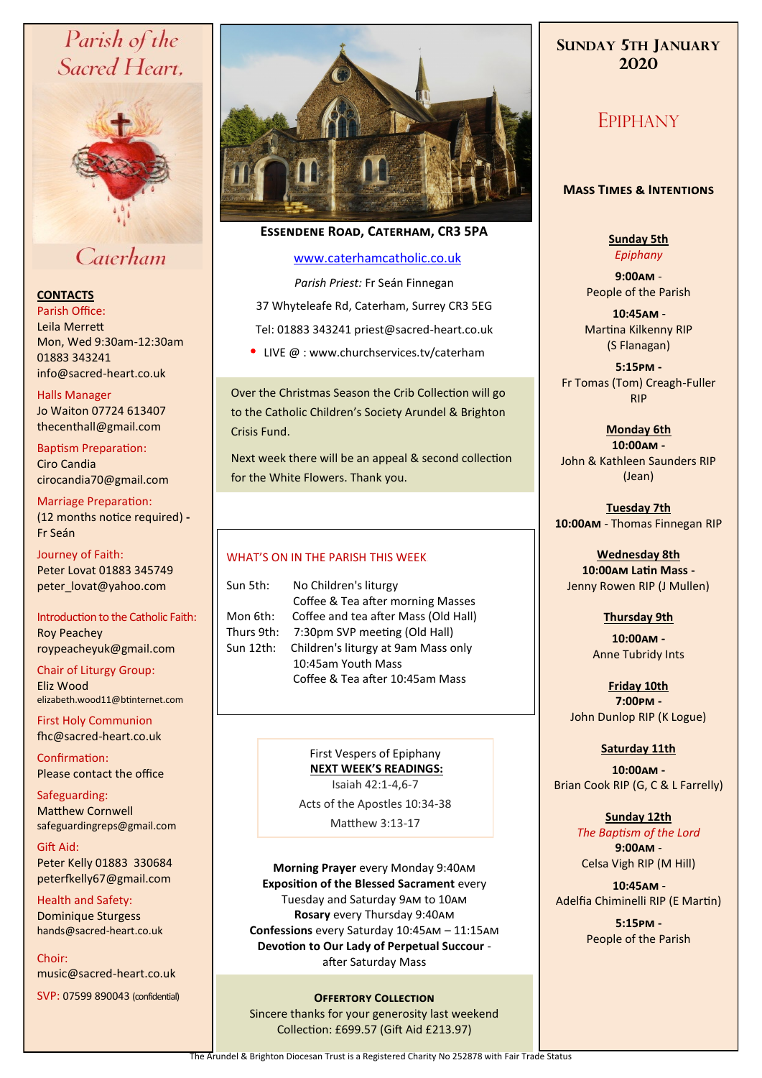# Parish of the Sacred Heart.



# Caterham

# **CONTACTS**

Parish Office: Leila Merrett Mon, Wed 9:30am-12:30am 01883 343241 info@sacred-heart.co.uk .

### Halls Manager

Jo Waiton 07724 613407 thecenthall@gmail.com

Baptism Preparation: Ciro Candia cirocandia70@gmail.com

Marriage Preparation: (12 months notice required) **-** Fr Seán

Journey of Faith: Peter Lovat 01883 345749 peter\_lovat@yahoo.com

Introduction to the Catholic Faith: Roy Peachey roypeacheyuk@gmail.com

Chair of Liturgy Group: Eliz Wood elizabeth.wood11@btinternet.com

First Holy Communion fhc@sacred-heart.co.uk

Confirmation: Please contact the office

Safeguarding: Matthew Cornwell safeguardingreps@gmail.com

Gift Aid: Peter Kelly 01883 330684 peterfkelly67@gmail.com

Health and Safety: Dominique Sturgess hands@sacred-heart.co.uk

Choir: music@sacred-heart.co.uk

SVP: 07599 890043 (confidential)



# **Essendene Road, Caterham, CR3 5PA**

## [www.caterhamcatholic.co.uk](http://Www.caterhamcatholic.co.uk)

*Parish Priest:* Fr Seán Finnegan 37 Whyteleafe Rd, Caterham, Surrey CR3 5EG Tel: 01883 343241 priest@sacred-heart.co.uk

• LIVE  $@:www.churchservices.tv/caterham$ 

Over the Christmas Season the Crib Collection will go to the Catholic Children's Society Arundel & Brighton Crisis Fund.

Next week there will be an appeal & second collection for the White Flowers. Thank you.

### WHAT'S ON IN THE PARISH THIS WEEK.

Sun 5th: No Children's liturgy Coffee & Tea after morning Masses Mon 6th: Coffee and tea after Mass (Old Hall) Thurs 9th: 7:30pm SVP meeting (Old Hall) Sun 12th: Children's liturgy at 9am Mass only 10:45am Youth Mass Coffee & Tea after 10:45am Mass

> First Vespers of Epiphany **NEXT WEEK'S READINGS:**  Isaiah 42:1-4,6-7 Acts of the Apostles 10:34-38

Matthew 3:13-17

**Morning Prayer** every Monday 9:40am **Exposition of the Blessed Sacrament** every Tuesday and Saturday 9am to 10am **Rosary** every Thursday 9:40am **Confessions** every Saturday 10:45am – 11:15am **Devotion to Our Lady of Perpetual Succour**  after Saturday Mass

### **OFFERTORY COLLECTION**

Sincere thanks for your generosity last weekend Collection: £699.57 (Gift Aid £213.97)

# **SUNDAY 5TH JANUARY 2020**

# EPIPHANY

### **Mass Times & Intentions**

**Sunday 5th** *Epiphany*

**9:00am** - People of the Parish

.**10:45am** - Martina Kilkenny RIP (S Flanagan)

**5:15pm -** Fr Tomas (Tom) Creagh-Fuller RIP

#### **Monday 6th 10:00am -**

John & Kathleen Saunders RIP (Jean)

**Tuesday 7th 10:00am** - Thomas Finnegan RIP

**Wednesday 8th 10:00am Latin Mass -** Jenny Rowen RIP (J Mullen)

# **Thursday 9th**

**10:00am -** Anne Tubridy Ints

**Friday 10th 7:00pm -** John Dunlop RIP (K Logue)

### **Saturday 11th**

**10:00am -**  Brian Cook RIP (G, C & L Farrelly)

> **Sunday 12th** *The Baptism of the Lord* **9:00am** - Celsa Vigh RIP (M Hill)

.**10:45am** - Adelfia Chiminelli RIP (E Martin)

> **5:15pm -** People of the Parish

The Arundel & Brighton Diocesan Trust is a Registered Charity No 252878 with Fair Trade Status